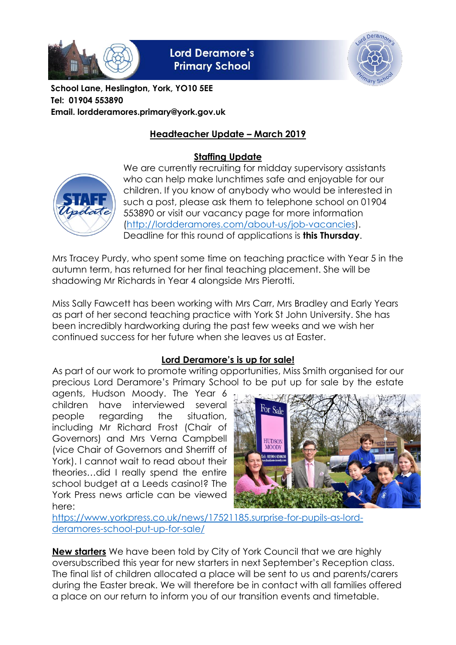

**Lord Deramore's Primary School** 



**School Lane, Heslington, York, YO10 5EE Tel: 01904 553890 Email. lordderamores.primary@york.gov.uk**

# **Headteacher Update – March 2019**

# **Staffing Update**



We are currently recruiting for midday supervisory assistants who can help make lunchtimes safe and enjoyable for our children. If you know of anybody who would be interested in such a post, please ask them to telephone school on 01904 553890 or visit our vacancy page for more information [\(http://lordderamores.com/about-us/job-vacancies\)](http://lordderamores.com/about-us/job-vacancies). Deadline for this round of applications is **this Thursday**.

Mrs Tracey Purdy, who spent some time on teaching practice with Year 5 in the autumn term, has returned for her final teaching placement. She will be shadowing Mr Richards in Year 4 alongside Mrs Pierotti.

Miss Sally Fawcett has been working with Mrs Carr, Mrs Bradley and Early Years as part of her second teaching practice with York St John University. She has been incredibly hardworking during the past few weeks and we wish her continued success for her future when she leaves us at Easter.

## **Lord Deramore's is up for sale!**

As part of our work to promote writing opportunities, Miss Smith organised for our precious Lord Deramore's Primary School to be put up for sale by the estate

agents, Hudson Moody. The Year 6 children have interviewed several people regarding the situation, including Mr Richard Frost (Chair of Governors) and Mrs Verna Campbell (vice Chair of Governors and Sherriff of York). I cannot wait to read about their theories…did I really spend the entire school budget at a Leeds casino!? The York Press news article can be viewed here:



[https://www.yorkpress.co.uk/news/17521185.surprise-for-pupils-as-lord](https://www.yorkpress.co.uk/news/17521185.surprise-for-pupils-as-lord-deramores-school-put-up-for-sale/)[deramores-school-put-up-for-sale/](https://www.yorkpress.co.uk/news/17521185.surprise-for-pupils-as-lord-deramores-school-put-up-for-sale/)

**New starters** We have been told by City of York Council that we are highly oversubscribed this year for new starters in next September's Reception class. The final list of children allocated a place will be sent to us and parents/carers during the Easter break. We will therefore be in contact with all families offered a place on our return to inform you of our transition events and timetable.